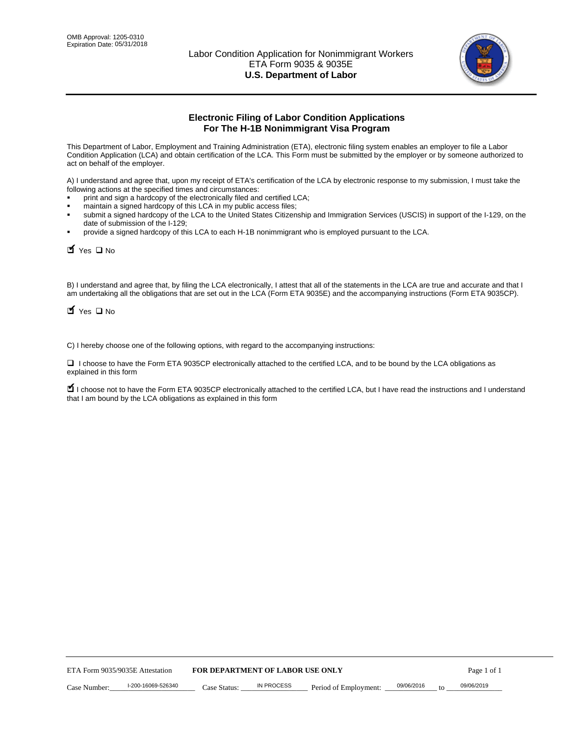

# **Electronic Filing of Labor Condition Applications For The H-1B Nonimmigrant Visa Program**

This Department of Labor, Employment and Training Administration (ETA), electronic filing system enables an employer to file a Labor Condition Application (LCA) and obtain certification of the LCA. This Form must be submitted by the employer or by someone authorized to act on behalf of the employer.

A) I understand and agree that, upon my receipt of ETA's certification of the LCA by electronic response to my submission, I must take the following actions at the specified times and circumstances:

- print and sign a hardcopy of the electronically filed and certified LCA;
- maintain a signed hardcopy of this LCA in my public access files;
- submit a signed hardcopy of the LCA to the United States Citizenship and Immigration Services (USCIS) in support of the I-129, on the date of submission of the I-129;
- provide a signed hardcopy of this LCA to each H-1B nonimmigrant who is employed pursuant to the LCA.

| Yes O No                                                                                                                                                                                                                                                                                                              |                                  |                   |                       |            |                  |
|-----------------------------------------------------------------------------------------------------------------------------------------------------------------------------------------------------------------------------------------------------------------------------------------------------------------------|----------------------------------|-------------------|-----------------------|------------|------------------|
| B) I understand and agree that, by filing the LCA electronically, I attest that all of the statements in the LCA are true and accurate and th<br>am undertaking all the obligations that are set out in the LCA (Form ETA 9035E) and the accompanying instructions (Form ETA 9035C<br>$\blacksquare$ Yes $\square$ No |                                  |                   |                       |            |                  |
| C) I hereby choose one of the following options, with regard to the accompanying instructions:                                                                                                                                                                                                                        |                                  |                   |                       |            |                  |
| □ I choose to have the Form ETA 9035CP electronically attached to the certified LCA, and to be bound by the LCA obligations as<br>explained in this form                                                                                                                                                              |                                  |                   |                       |            |                  |
| I choose not to have the Form ETA 9035CP electronically attached to the certified LCA, but I have read the instructions and I unders<br>that I am bound by the LCA obligations as explained in this form                                                                                                              |                                  |                   |                       |            |                  |
|                                                                                                                                                                                                                                                                                                                       |                                  |                   |                       |            |                  |
|                                                                                                                                                                                                                                                                                                                       |                                  |                   |                       |            |                  |
|                                                                                                                                                                                                                                                                                                                       |                                  |                   |                       |            |                  |
|                                                                                                                                                                                                                                                                                                                       |                                  |                   |                       |            |                  |
|                                                                                                                                                                                                                                                                                                                       |                                  |                   |                       |            |                  |
|                                                                                                                                                                                                                                                                                                                       |                                  |                   |                       |            |                  |
|                                                                                                                                                                                                                                                                                                                       |                                  |                   |                       |            |                  |
|                                                                                                                                                                                                                                                                                                                       |                                  |                   |                       |            |                  |
|                                                                                                                                                                                                                                                                                                                       |                                  |                   |                       |            |                  |
|                                                                                                                                                                                                                                                                                                                       |                                  |                   |                       |            |                  |
| ETA Form 9035/9035E Attestation                                                                                                                                                                                                                                                                                       | FOR DEPARTMENT OF LABOR USE ONLY |                   |                       |            | Page 1 of 1      |
| I-200-16069-526340<br>Case Number:                                                                                                                                                                                                                                                                                    | Case Status:                     | <b>IN PROCESS</b> | Period of Employment: | 09/06/2016 | 09/06/2019<br>to |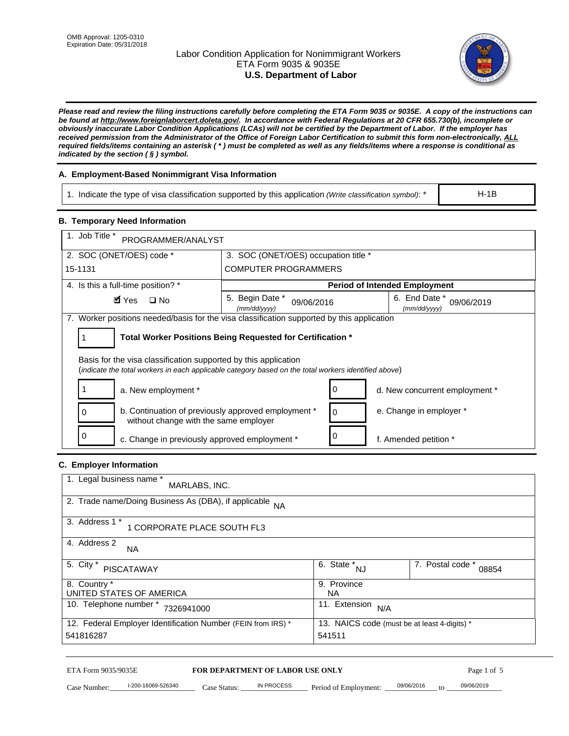# Labor Condition Application for Nonimmigrant Workers ETA Form 9035 & 9035E **U.S. Department of Labor**



*Please read and review the filing instructions carefully before completing the ETA Form 9035 or 9035E. A copy of the instructions can be found at http://www.foreignlaborcert.doleta.gov/. In accordance with Federal Regulations at 20 CFR 655.730(b), incomplete or obviously inaccurate Labor Condition Applications (LCAs) will not be certified by the Department of Labor. If the employer has received permission from the Administrator of the Office of Foreign Labor Certification to submit this form non-electronically, ALL required fields/items containing an asterisk ( \* ) must be completed as well as any fields/items where a response is conditional as indicated by the section ( § ) symbol.* 

# **A. Employment-Based Nonimmigrant Visa Information**

1. Indicate the type of visa classification supported by this application *(Write classification symbol)*: \*

# **B. Temporary Need Information**

| <b>B. Temporary Need Information</b>                                                                                                                                    |                                                            |                                              |  |  |  |
|-------------------------------------------------------------------------------------------------------------------------------------------------------------------------|------------------------------------------------------------|----------------------------------------------|--|--|--|
| 1. Job Title *<br>PROGRAMMER/ANALYST                                                                                                                                    |                                                            |                                              |  |  |  |
| 2. SOC (ONET/OES) code *<br>3. SOC (ONET/OES) occupation title *                                                                                                        |                                                            |                                              |  |  |  |
| 15-1131                                                                                                                                                                 | <b>COMPUTER PROGRAMMERS</b>                                |                                              |  |  |  |
| 4. Is this a full-time position? *                                                                                                                                      |                                                            | <b>Period of Intended Employment</b>         |  |  |  |
| $\blacksquare$ Yes<br>$\square$ No                                                                                                                                      | 5. Begin Date *<br>09/06/2016<br>(mm/dd/yyyy)              | 6. End Date *<br>09/06/2019<br>(mm/dd/yyyy)  |  |  |  |
| 7. Worker positions needed/basis for the visa classification supported by this application                                                                              |                                                            |                                              |  |  |  |
| 1                                                                                                                                                                       | Total Worker Positions Being Requested for Certification * |                                              |  |  |  |
|                                                                                                                                                                         |                                                            |                                              |  |  |  |
| Basis for the visa classification supported by this application<br>(indicate the total workers in each applicable category based on the total workers identified above) |                                                            |                                              |  |  |  |
| 1<br>a. New employment *                                                                                                                                                | 0                                                          | d. New concurrent employment *               |  |  |  |
| b. Continuation of previously approved employment *<br>0<br>without change with the same employer                                                                       | 0                                                          | e. Change in employer *                      |  |  |  |
| 0<br>c. Change in previously approved employment *                                                                                                                      | 0                                                          | f. Amended petition *                        |  |  |  |
| C. Employer Information                                                                                                                                                 |                                                            |                                              |  |  |  |
| 1. Legal business name *                                                                                                                                                |                                                            |                                              |  |  |  |
| MARLABS, INC.                                                                                                                                                           |                                                            |                                              |  |  |  |
| 2. Trade name/Doing Business As (DBA), if applicable                                                                                                                    | <b>NA</b>                                                  |                                              |  |  |  |
| 3. Address 1 *<br>1 CORPORATE PLACE SOUTH FL3                                                                                                                           |                                                            |                                              |  |  |  |
| 4. Address 2<br>NA.                                                                                                                                                     |                                                            |                                              |  |  |  |
| 5. City *                                                                                                                                                               | $\overline{6. \text{ State}}^*_{NJ}$                       | 7. Postal code *                             |  |  |  |
| <b>PISCATAWAY</b>                                                                                                                                                       |                                                            | 08854                                        |  |  |  |
| 8. Country *<br>UNITED STATES OF AMERICA                                                                                                                                | <b>NA</b>                                                  | 9. Province                                  |  |  |  |
| 10. Telephone number * 7326941000                                                                                                                                       | 11. Extension $N/A$                                        |                                              |  |  |  |
| 12. Federal Employer Identification Number (FEIN from IRS) *                                                                                                            |                                                            | 13. NAICS code (must be at least 4-digits) * |  |  |  |
| 541816287                                                                                                                                                               | 541511                                                     |                                              |  |  |  |
|                                                                                                                                                                         |                                                            |                                              |  |  |  |

#### **C. Employer Information**

| 1. Legal business name *<br>MARLABS, INC.                    |                                              |                           |
|--------------------------------------------------------------|----------------------------------------------|---------------------------|
| 2. Trade name/Doing Business As (DBA), if applicable NA      |                                              |                           |
| 3. Address 1 *<br>1 CORPORATE PLACE SOUTH FL3                |                                              |                           |
| 4. Address 2<br><b>NA</b>                                    |                                              |                           |
| 5. City *<br><b>PISCATAWAY</b>                               | 6. State *<br><b>NJ</b>                      | 7. Postal code *<br>08854 |
| 8. Country *                                                 | 9. Province                                  |                           |
| UNITED STATES OF AMERICA                                     | NA                                           |                           |
| 10. Telephone number *<br>7326941000                         | 11. Extension<br>N/A                         |                           |
| 12. Federal Employer Identification Number (FEIN from IRS) * | 13. NAICS code (must be at least 4-digits) * |                           |
| 541816287                                                    | 541511                                       |                           |

# ETA Form 9035/9035E **FOR DEPARTMENT OF LABOR USE ONLY** Page 1 of 5<br>Case Number: 1-200-16069-526340 Case Status: IN PROCESS Period of Employment: 09/06/2016 to 09/06/2019

Case Number:  $-$  1-200-16069-526340 Case Status: NPROCESS Period of Employment:  $-$  09/06/2016 to  $-$  09/06/2019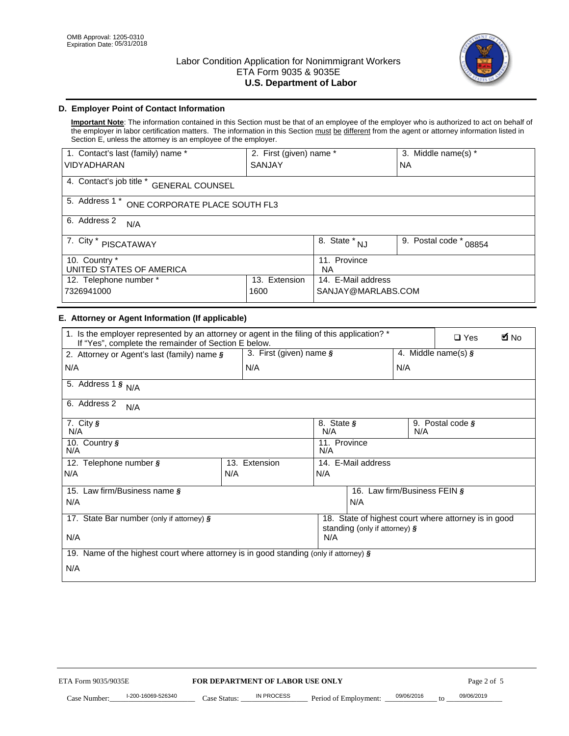

# **D. Employer Point of Contact Information**

**Important Note**: The information contained in this Section must be that of an employee of the employer who is authorized to act on behalf of the employer in labor certification matters. The information in this Section must be different from the agent or attorney information listed in Section E, unless the attorney is an employee of the employer.

| 1. Contact's last (family) name *                  | 2. First (given) name *          |                           | 3. Middle name(s) * |  |  |
|----------------------------------------------------|----------------------------------|---------------------------|---------------------|--|--|
| <b>VIDYADHARAN</b>                                 | <b>SANJAY</b>                    |                           | <b>NA</b>           |  |  |
| 4. Contact's job title *<br><b>GENERAL COUNSEL</b> |                                  |                           |                     |  |  |
| 5. Address 1 *<br>ONE CORPORATE PLACE SOUTH FL3    |                                  |                           |                     |  |  |
| 6. Address 2<br>N/A                                |                                  |                           |                     |  |  |
| 7. City *<br><b>PISCATAWAY</b>                     | $\overline{8}$ . State $*$<br>NJ | 9. Postal code *<br>08854 |                     |  |  |
| 10. Country *<br>UNITED STATES OF AMERICA          |                                  | 11. Province<br><b>NA</b> |                     |  |  |
| 12. Telephone number *<br>Extension<br>13.         |                                  | 14. E-Mail address        |                     |  |  |
| 7326941000<br>1600                                 |                                  | SANJAY@MARLABS.COM        |                     |  |  |

# **E. Attorney or Agent Information (If applicable)**

| VIDYADHARAN                                                                                                                                         | SANJAY                                                |                                           |                                          | <b>NA</b>                    |                                                      |             |
|-----------------------------------------------------------------------------------------------------------------------------------------------------|-------------------------------------------------------|-------------------------------------------|------------------------------------------|------------------------------|------------------------------------------------------|-------------|
| 4. Contact's job title * GENERAL COUNSEL                                                                                                            |                                                       |                                           |                                          |                              |                                                      |             |
| 5. Address 1 * ONE CORPORATE PLACE SOUTH FL3                                                                                                        |                                                       |                                           |                                          |                              |                                                      |             |
| 6. Address 2<br>N/A                                                                                                                                 |                                                       |                                           |                                          |                              |                                                      |             |
| 7. City * PISCATAWAY                                                                                                                                |                                                       | $\overline{\phantom{a}}$ 8. State $^*$ NJ |                                          | 9. Postal code *             | 08854                                                |             |
| 10. Country *<br>UNITED STATES OF AMERICA                                                                                                           |                                                       | 11. Province<br>NA                        |                                          |                              |                                                      |             |
| 12. Telephone number *<br>7326941000                                                                                                                | 13. Extension<br>1600                                 |                                           | 14. E-Mail address<br>SANJAY@MARLABS.COM |                              |                                                      |             |
| E. Attorney or Agent Information (If applicable)                                                                                                    |                                                       |                                           |                                          |                              |                                                      |             |
| 1. Is the employer represented by an attorney or agent in the filing of this application? *<br>If "Yes", complete the remainder of Section E below. |                                                       |                                           |                                          |                              | $\Box$ Yes                                           | <b>M</b> No |
| 2. Attorney or Agent's last (family) name §                                                                                                         | 3. First (given) name §                               |                                           |                                          |                              | 4. Middle name(s) $\sqrt{s}$                         |             |
| N/A                                                                                                                                                 | N/A                                                   |                                           |                                          | N/A                          |                                                      |             |
| 5. Address 1 $\frac{1}{9}$ N/A                                                                                                                      |                                                       |                                           |                                          |                              |                                                      |             |
| 6. Address 2<br>N/A                                                                                                                                 |                                                       |                                           |                                          |                              |                                                      |             |
| 7. City §<br>N/A                                                                                                                                    |                                                       | 8. State §<br>N/A                         |                                          | N/A                          | 9. Postal code §                                     |             |
| 10. Country §<br>N/A                                                                                                                                |                                                       | 11. Province<br>N/A                       |                                          |                              |                                                      |             |
| 12. Telephone number §                                                                                                                              | 13. Extension                                         | 14. E-Mail address                        |                                          |                              |                                                      |             |
| N/A                                                                                                                                                 | N/A                                                   | N/A                                       |                                          |                              |                                                      |             |
| 15. Law firm/Business name §                                                                                                                        |                                                       |                                           |                                          | 16. Law firm/Business FEIN § |                                                      |             |
| N/A                                                                                                                                                 |                                                       |                                           | N/A                                      |                              |                                                      |             |
| 17. State Bar number (only if attorney) §                                                                                                           |                                                       |                                           | standing (only if attorney) §            |                              | 18. State of highest court where attorney is in good |             |
| N/A                                                                                                                                                 |                                                       | N/A                                       |                                          |                              |                                                      |             |
| 19. Name of the highest court where attorney is in good standing (only if attorney) §                                                               |                                                       |                                           |                                          |                              |                                                      |             |
| N/A                                                                                                                                                 |                                                       |                                           |                                          |                              |                                                      |             |
|                                                                                                                                                     |                                                       |                                           |                                          |                              |                                                      |             |
|                                                                                                                                                     |                                                       |                                           |                                          |                              |                                                      |             |
|                                                                                                                                                     |                                                       |                                           |                                          |                              |                                                      |             |
|                                                                                                                                                     |                                                       |                                           |                                          |                              |                                                      |             |
|                                                                                                                                                     |                                                       |                                           |                                          |                              |                                                      |             |
|                                                                                                                                                     |                                                       |                                           |                                          |                              |                                                      |             |
| ETA Form 9035/9035E                                                                                                                                 |                                                       |                                           |                                          |                              |                                                      |             |
| I-200-16069-526340                                                                                                                                  | FOR DEPARTMENT OF LABOR USE ONLY<br><b>IN PROCESS</b> |                                           |                                          | 09/06/2016                   | Page 2 of 5<br>09/06/2019                            |             |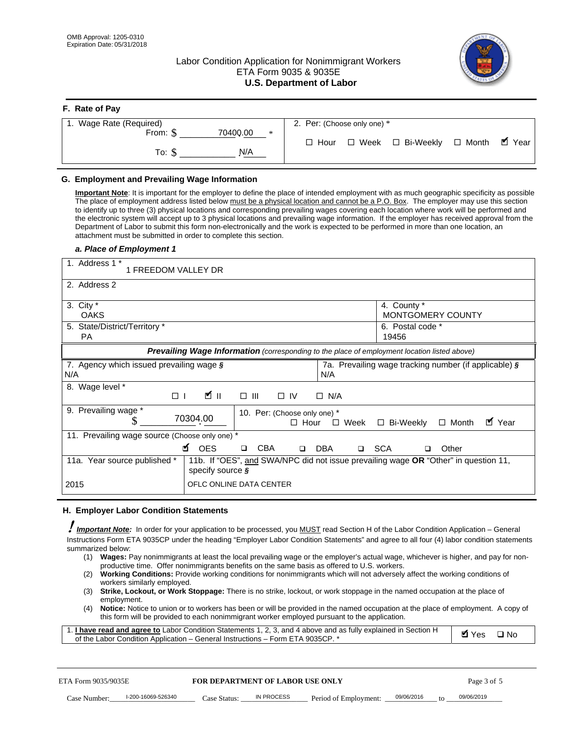**F. Rate of Pay** 

# Labor Condition Application for Nonimmigrant Workers ETA Form 9035 & 9035E **U.S. Department of Labor**



| <b>F.</b> Rate of Pay       |                                                     |
|-----------------------------|-----------------------------------------------------|
| 1. Wage Rate (Required)     | 2. Per: (Choose only one) *                         |
| 70400.00<br>From: \$<br>$*$ | □ Month ■ Year<br>□ Week □ Bi-Weekly<br>$\Box$ Hour |
| N/A<br>To: \$               |                                                     |

## **G. Employment and Prevailing Wage Information**

#### *a. Place of Employment 1*

| From: \$                                                                                                                                                                                                                                                                                                                                                                                                                                                                                                                                                                                                                                                                                                                                                                                                                                                              | 70400.00<br>$\ast$<br>To: $\S$<br>N/A                                                                                                                                                                                                                                                                                                                                                                                                                                                                                                                                                                                                                                                                                                | $\Box$ Hour                                                                           | $\Box$ Week $\Box$ Bi-Weekly                                  | $\blacksquare$ Year<br>$\Box$ Month |
|-----------------------------------------------------------------------------------------------------------------------------------------------------------------------------------------------------------------------------------------------------------------------------------------------------------------------------------------------------------------------------------------------------------------------------------------------------------------------------------------------------------------------------------------------------------------------------------------------------------------------------------------------------------------------------------------------------------------------------------------------------------------------------------------------------------------------------------------------------------------------|--------------------------------------------------------------------------------------------------------------------------------------------------------------------------------------------------------------------------------------------------------------------------------------------------------------------------------------------------------------------------------------------------------------------------------------------------------------------------------------------------------------------------------------------------------------------------------------------------------------------------------------------------------------------------------------------------------------------------------------|---------------------------------------------------------------------------------------|---------------------------------------------------------------|-------------------------------------|
| G. Employment and Prevailing Wage Information<br>Important Note: It is important for the employer to define the place of intended employment with as much geographic specificity as possible<br>The place of employment address listed below must be a physical location and cannot be a P.O. Box. The employer may use this section<br>to identify up to three (3) physical locations and corresponding prevailing wages covering each location where work will be performed and<br>the electronic system will accept up to 3 physical locations and prevailing wage information. If the employer has received approval from the<br>Department of Labor to submit this form non-electronically and the work is expected to be performed in more than one location, an<br>attachment must be submitted in order to complete this section.<br>a. Place of Employment 1 |                                                                                                                                                                                                                                                                                                                                                                                                                                                                                                                                                                                                                                                                                                                                      |                                                                                       |                                                               |                                     |
| 1. Address 1 *<br>1 FREEDOM VALLEY DR<br>2. Address 2                                                                                                                                                                                                                                                                                                                                                                                                                                                                                                                                                                                                                                                                                                                                                                                                                 |                                                                                                                                                                                                                                                                                                                                                                                                                                                                                                                                                                                                                                                                                                                                      |                                                                                       |                                                               |                                     |
| 3. City $*$<br><b>OAKS</b><br>5. State/District/Territory *<br>PA                                                                                                                                                                                                                                                                                                                                                                                                                                                                                                                                                                                                                                                                                                                                                                                                     |                                                                                                                                                                                                                                                                                                                                                                                                                                                                                                                                                                                                                                                                                                                                      |                                                                                       | 4. County *<br>MONTGOMERY COUNTY<br>6. Postal code *<br>19456 |                                     |
| 7. Agency which issued prevailing wage §<br>N/A                                                                                                                                                                                                                                                                                                                                                                                                                                                                                                                                                                                                                                                                                                                                                                                                                       | Prevailing Wage Information (corresponding to the place of employment location listed above)                                                                                                                                                                                                                                                                                                                                                                                                                                                                                                                                                                                                                                         | N/A                                                                                   | 7a. Prevailing wage tracking number (if applicable) §         |                                     |
| 8. Wage level *<br>$\Box$<br>9. Prevailing wage *<br>S<br>11. Prevailing wage source (Choose only one) *                                                                                                                                                                                                                                                                                                                                                                                                                                                                                                                                                                                                                                                                                                                                                              | $\mathbf{K}$ II<br>$\Box$<br>III<br>70304.00                                                                                                                                                                                                                                                                                                                                                                                                                                                                                                                                                                                                                                                                                         | $\Box$ IV<br>$\Box$ N/A<br>10. Per: (Choose only one) *<br>$\Box$ Hour<br>$\Box$ Week | □ Bi-Weekly                                                   | ■ Year<br>$\Box$ Month              |
| 11a. Year source published *<br>2015                                                                                                                                                                                                                                                                                                                                                                                                                                                                                                                                                                                                                                                                                                                                                                                                                                  | <b>¤</b> OES<br><b>CBA</b><br>$\Box$<br>11b. If "OES", and SWA/NPC did not issue prevailing wage OR "Other" in question 11,<br>specify source $\boldsymbol{\S}$<br>OFLC ONLINE DATA CENTER                                                                                                                                                                                                                                                                                                                                                                                                                                                                                                                                           | □ SCA<br>DBA<br>$\Box$                                                                | □                                                             | Other                               |
| H. Employer Labor Condition Statements<br><b>Important Note:</b> In order for your application to be processed, you MUST read Section H of the Labor Condition Application - General<br>Instructions Form ETA 9035CP under the heading "Employer Labor Condition Statements" and agree to all four (4) labor condition statements<br>summarized below:<br>(1)<br>(2)<br>workers similarly employed.<br>(3)<br>employment.<br>(4)<br>1. I have read and agree to Labor Condition Statements 1, 2, 3, and 4 above and as fully explained in Section H<br>of the Labor Condition Application - General Instructions - Form ETA 9035CP. *                                                                                                                                                                                                                                 | Wages: Pay nonimmigrants at least the local prevailing wage or the employer's actual wage, whichever is higher, and pay for non-<br>productive time. Offer nonimmigrants benefits on the same basis as offered to U.S. workers.<br><b>Working Conditions:</b> Provide working conditions for nonimmigrants which will not adversely affect the working conditions of<br>Strike, Lockout, or Work Stoppage: There is no strike, lockout, or work stoppage in the named occupation at the place of<br>Notice: Notice to union or to workers has been or will be provided in the named occupation at the place of employment. A copy of<br>this form will be provided to each nonimmigrant worker employed pursuant to the application. |                                                                                       |                                                               | <b>Ø</b> Yes<br>$\square$ No        |
| ETA Form 9035/9035E<br>I-200-16069-526340<br>Case Number:                                                                                                                                                                                                                                                                                                                                                                                                                                                                                                                                                                                                                                                                                                                                                                                                             | <b>FOR DEPARTMENT OF LABOR USE ONLY</b><br>IN PROCESS<br>Case Status: .                                                                                                                                                                                                                                                                                                                                                                                                                                                                                                                                                                                                                                                              | Period of Employment:                                                                 | 09/06/2016                                                    | Page 3 of 5<br>09/06/2019           |

#### **H. Employer Labor Condition Statements**

- (1) **Wages:** Pay nonimmigrants at least the local prevailing wage or the employer's actual wage, whichever is higher, and pay for nonproductive time. Offer nonimmigrants benefits on the same basis as offered to U.S. workers.
- (2) **Working Conditions:** Provide working conditions for nonimmigrants which will not adversely affect the working conditions of workers similarly employed.
- (3) **Strike, Lockout, or Work Stoppage:** There is no strike, lockout, or work stoppage in the named occupation at the place of employment.
- (4) **Notice:** Notice to union or to workers has been or will be provided in the named occupation at the place of employment. A copy of this form will be provided to each nonimmigrant worker employed pursuant to the application.

| 1. I have read and agree to Labor Condition Statements 1, 2, 3, and 4 above and as fully explained in Section H | $\blacksquare$ Yes $\square$ No |  |
|-----------------------------------------------------------------------------------------------------------------|---------------------------------|--|
| of the Labor Condition Application – General Instructions – Form ETA 9035CP. *                                  |                                 |  |

| ETA Form 9035/9035E |                    |              | <b>FOR DEPARTMENT OF LABOR USE ONLY</b> |                       |            |        | Page 3 of 5 |
|---------------------|--------------------|--------------|-----------------------------------------|-----------------------|------------|--------|-------------|
| Case Number:        | l-200-16069-526340 | Case Status: | IN PROCESS                              | Period of Employment: | 09/06/2016 | $10 -$ | 09/06/2019  |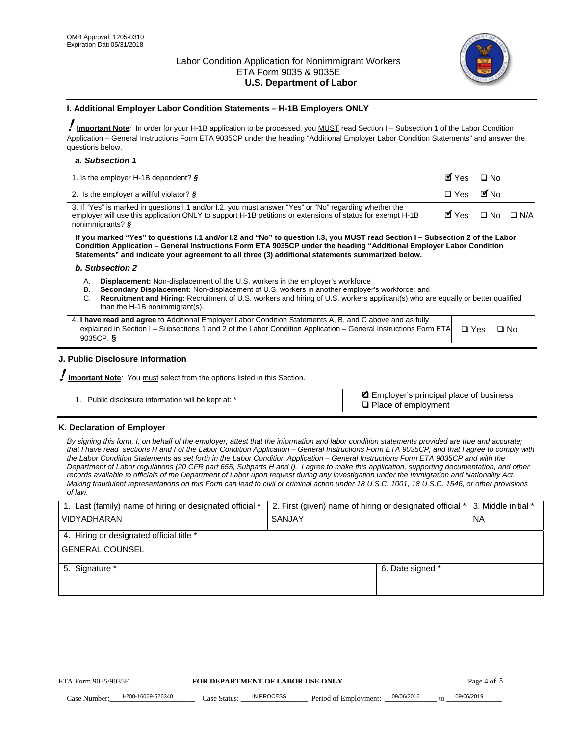

#### **I. Additional Employer Labor Condition Statements – H-1B Employers ONLY**

!**Important Note***:* In order for your H-1B application to be processed, you MUST read Section I – Subsection 1 of the Labor Condition Application – General Instructions Form ETA 9035CP under the heading "Additional Employer Labor Condition Statements" and answer the questions below.

#### *a. Subsection 1*

| 1. Is the employer H-1B dependent? $\S$                                                                                                                                                                                                 | Myes                                          | $\Box$ No              |  |
|-----------------------------------------------------------------------------------------------------------------------------------------------------------------------------------------------------------------------------------------|-----------------------------------------------|------------------------|--|
| 2. Is the employer a willful violator? $\frac{1}{2}$                                                                                                                                                                                    | $\Box$ Yes                                    | <b>M</b> <sub>No</sub> |  |
| 3. If "Yes" is marked in questions 1.1 and/or 1.2, you must answer "Yes" or "No" regarding whether the<br>employer will use this application ONLY to support H-1B petitions or extensions of status for exempt H-1B<br>nonimmigrants? § | $\blacksquare$ Yes $\square$ No $\square$ N/A |                        |  |

**If you marked "Yes" to questions I.1 and/or I.2 and "No" to question I.3, you MUST read Section I – Subsection 2 of the Labor Condition Application – General Instructions Form ETA 9035CP under the heading "Additional Employer Labor Condition Statements" and indicate your agreement to all three (3) additional statements summarized below.** 

#### *b. Subsection 2*

- A. **Displacement:** Non-displacement of the U.S. workers in the employer's workforce
- B. **Secondary Displacement:** Non-displacement of U.S. workers in another employer's workforce; and
- C. **Recruitment and Hiring:** Recruitment of U.S. workers and hiring of U.S. workers applicant(s) who are equally or better qualified than the H-1B nonimmigrant(s).

| 4. I have read and agree to Additional Employer Labor Condition Statements A, B, and C above and as fully       |            |      |
|-----------------------------------------------------------------------------------------------------------------|------------|------|
| explained in Section I – Subsections 1 and 2 of the Labor Condition Application – General Instructions Form ETA | $\Box$ Yes | ⊡ No |
| 9035CP. $\frac{5}{9}$                                                                                           |            |      |

# **J. Public Disclosure Information**

!**Important Note***:* You must select from the options listed in this Section.

| Public disclosure information will be kept at: * | Employer's principal place of business<br>$\Box$ Place of employment |
|--------------------------------------------------|----------------------------------------------------------------------|
|--------------------------------------------------|----------------------------------------------------------------------|

#### **K. Declaration of Employer**

*By signing this form, I, on behalf of the employer, attest that the information and labor condition statements provided are true and accurate;*  that I have read sections H and I of the Labor Condition Application – General Instructions Form ETA 9035CP, and that I agree to comply with *the Labor Condition Statements as set forth in the Labor Condition Application – General Instructions Form ETA 9035CP and with the Department of Labor regulations (20 CFR part 655, Subparts H and I). I agree to make this application, supporting documentation, and other records available to officials of the Department of Labor upon request during any investigation under the Immigration and Nationality Act. Making fraudulent representations on this Form can lead to civil or criminal action under 18 U.S.C. 1001, 18 U.S.C. 1546, or other provisions of law.* 

| 1. Last (family) name of hiring or designated official * | 2. First (given) name of hiring or designated official * |                                 | 3. Middle initial * |
|----------------------------------------------------------|----------------------------------------------------------|---------------------------------|---------------------|
| <b>VIDYADHARAN</b>                                       | <b>SANJAY</b>                                            |                                 | <b>NA</b>           |
| 4. Hiring or designated official title *                 |                                                          |                                 |                     |
| <b>GENERAL COUNSEL</b>                                   |                                                          |                                 |                     |
| 5. Signature *                                           |                                                          | 6. Date signed *                |                     |
|                                                          |                                                          |                                 |                     |
|                                                          |                                                          |                                 |                     |
|                                                          |                                                          |                                 |                     |
|                                                          |                                                          |                                 |                     |
| ETA Form 9035/9035E                                      | FOR DEPARTMENT OF LABOR USE ONLY                         |                                 | Page 4 of 5         |
| I-200-16069-526340<br>Case Number<br>Case Status:        | IN PROCESS<br>Period of Employment:                      | 09/06/2016<br>$\mathsf{t} \cap$ | 09/06/2019          |